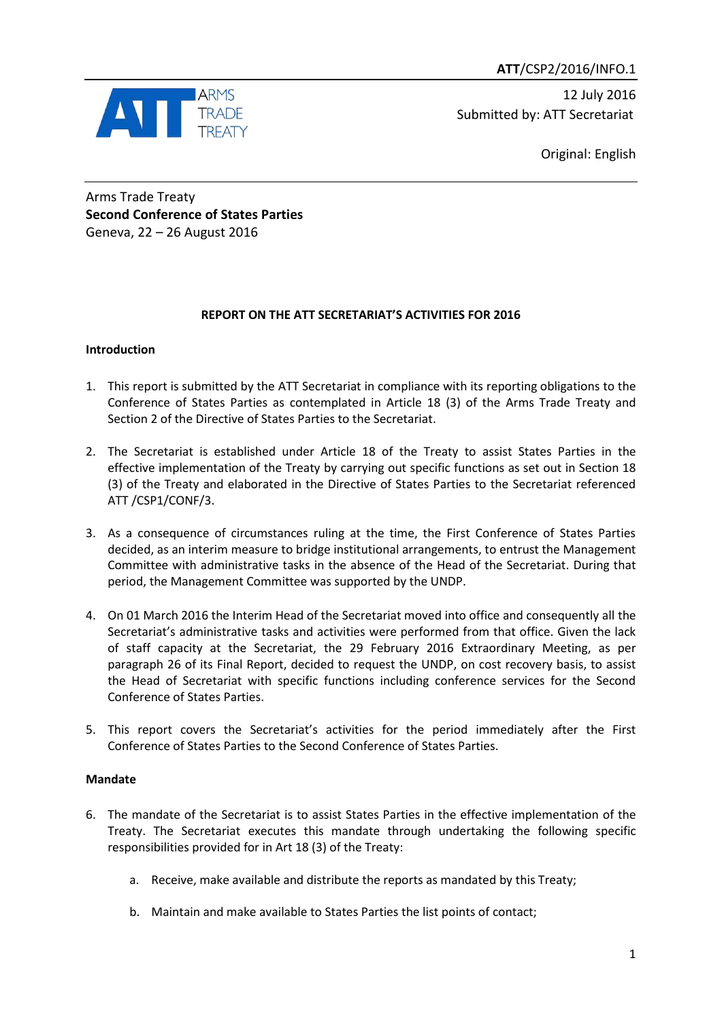**ATT**/CSP2/2016/INFO.1



12 July 2016 Submitted by: ATT Secretariat

Original: English

Arms Trade Treaty **Second Conference of States Parties** Geneva, 22 – 26 August 2016

# **REPORT ON THE ATT SECRETARIAT'S ACTIVITIES FOR 2016**

## **Introduction**

- 1. This report is submitted by the ATT Secretariat in compliance with its reporting obligations to the Conference of States Parties as contemplated in Article 18 (3) of the Arms Trade Treaty and Section 2 of the Directive of States Parties to the Secretariat.
- 2. The Secretariat is established under Article 18 of the Treaty to assist States Parties in the effective implementation of the Treaty by carrying out specific functions as set out in Section 18 (3) of the Treaty and elaborated in the Directive of States Parties to the Secretariat referenced ATT /CSP1/CONF/3.
- 3. As a consequence of circumstances ruling at the time, the First Conference of States Parties decided, as an interim measure to bridge institutional arrangements, to entrust the Management Committee with administrative tasks in the absence of the Head of the Secretariat. During that period, the Management Committee was supported by the UNDP.
- 4. On 01 March 2016 the Interim Head of the Secretariat moved into office and consequently all the Secretariat's administrative tasks and activities were performed from that office. Given the lack of staff capacity at the Secretariat, the 29 February 2016 Extraordinary Meeting, as per paragraph 26 of its Final Report, decided to request the UNDP, on cost recovery basis, to assist the Head of Secretariat with specific functions including conference services for the Second Conference of States Parties.
- 5. This report covers the Secretariat's activities for the period immediately after the First Conference of States Parties to the Second Conference of States Parties.

## **Mandate**

- 6. The mandate of the Secretariat is to assist States Parties in the effective implementation of the Treaty. The Secretariat executes this mandate through undertaking the following specific responsibilities provided for in Art 18 (3) of the Treaty:
	- a. Receive, make available and distribute the reports as mandated by this Treaty;
	- b. Maintain and make available to States Parties the list points of contact;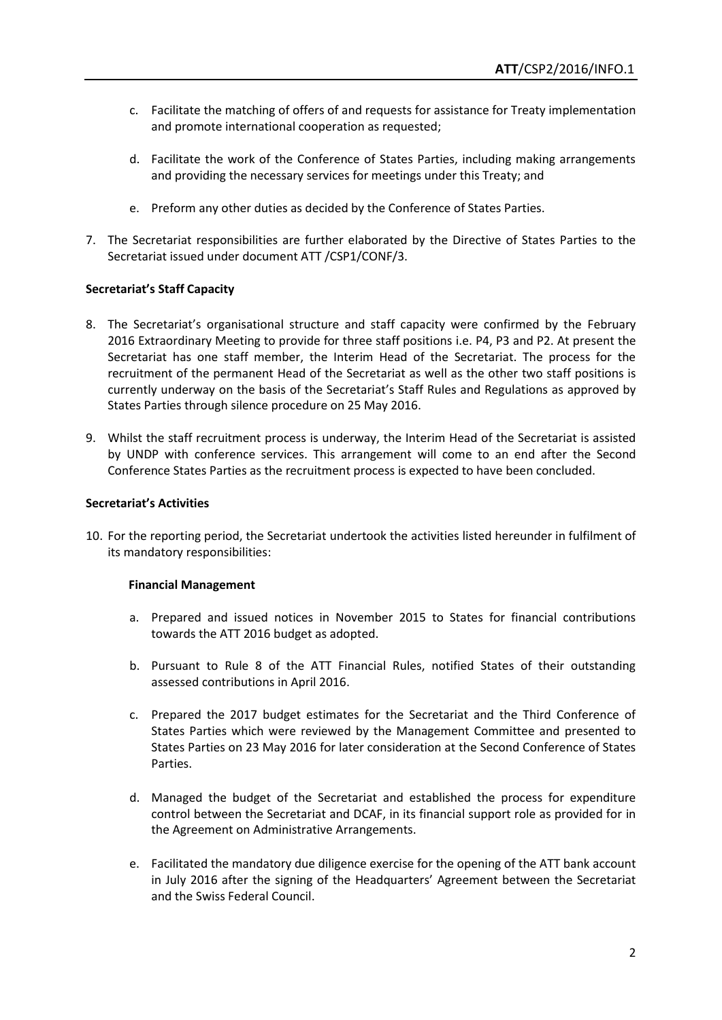- c. Facilitate the matching of offers of and requests for assistance for Treaty implementation and promote international cooperation as requested;
- d. Facilitate the work of the Conference of States Parties, including making arrangements and providing the necessary services for meetings under this Treaty; and
- e. Preform any other duties as decided by the Conference of States Parties.
- 7. The Secretariat responsibilities are further elaborated by the Directive of States Parties to the Secretariat issued under document ATT /CSP1/CONF/3.

### **Secretariat's Staff Capacity**

- 8. The Secretariat's organisational structure and staff capacity were confirmed by the February 2016 Extraordinary Meeting to provide for three staff positions i.e. P4, P3 and P2. At present the Secretariat has one staff member, the Interim Head of the Secretariat. The process for the recruitment of the permanent Head of the Secretariat as well as the other two staff positions is currently underway on the basis of the Secretariat's Staff Rules and Regulations as approved by States Parties through silence procedure on 25 May 2016.
- 9. Whilst the staff recruitment process is underway, the Interim Head of the Secretariat is assisted by UNDP with conference services. This arrangement will come to an end after the Second Conference States Parties as the recruitment process is expected to have been concluded.

#### **Secretariat's Activities**

10. For the reporting period, the Secretariat undertook the activities listed hereunder in fulfilment of its mandatory responsibilities:

### **Financial Management**

- a. Prepared and issued notices in November 2015 to States for financial contributions towards the ATT 2016 budget as adopted.
- b. Pursuant to Rule 8 of the ATT Financial Rules, notified States of their outstanding assessed contributions in April 2016.
- c. Prepared the 2017 budget estimates for the Secretariat and the Third Conference of States Parties which were reviewed by the Management Committee and presented to States Parties on 23 May 2016 for later consideration at the Second Conference of States Parties.
- d. Managed the budget of the Secretariat and established the process for expenditure control between the Secretariat and DCAF, in its financial support role as provided for in the Agreement on Administrative Arrangements.
- e. Facilitated the mandatory due diligence exercise for the opening of the ATT bank account in July 2016 after the signing of the Headquarters' Agreement between the Secretariat and the Swiss Federal Council.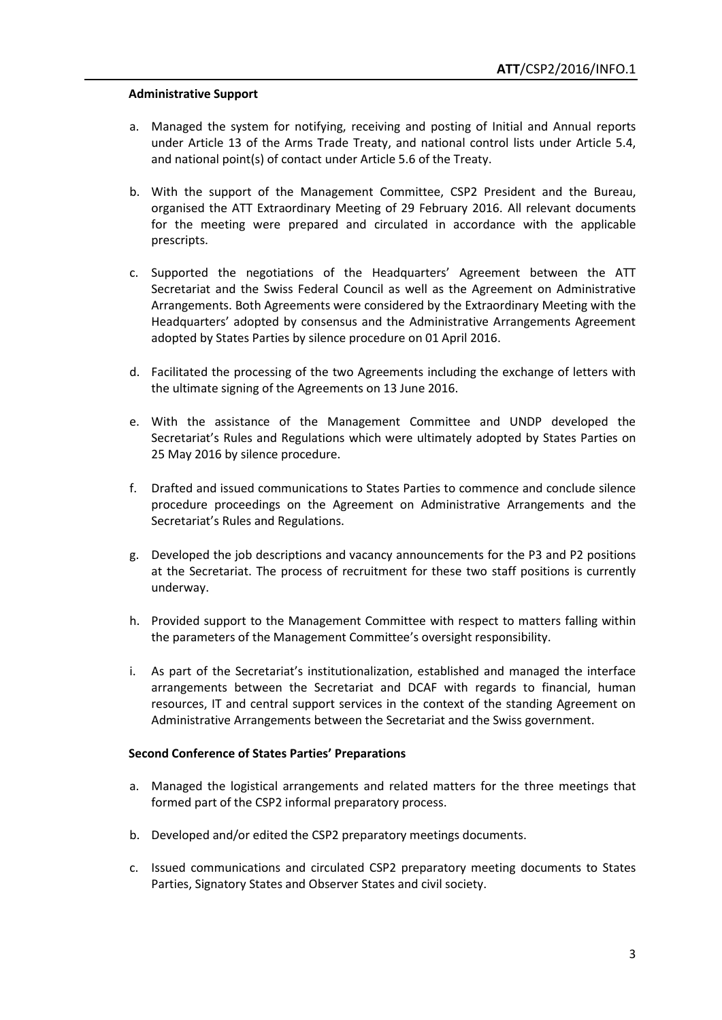#### **Administrative Support**

- a. Managed the system for notifying, receiving and posting of Initial and Annual reports under Article 13 of the Arms Trade Treaty, and national control lists under Article 5.4, and national point(s) of contact under Article 5.6 of the Treaty.
- b. With the support of the Management Committee, CSP2 President and the Bureau, organised the ATT Extraordinary Meeting of 29 February 2016. All relevant documents for the meeting were prepared and circulated in accordance with the applicable prescripts.
- c. Supported the negotiations of the Headquarters' Agreement between the ATT Secretariat and the Swiss Federal Council as well as the Agreement on Administrative Arrangements. Both Agreements were considered by the Extraordinary Meeting with the Headquarters' adopted by consensus and the Administrative Arrangements Agreement adopted by States Parties by silence procedure on 01 April 2016.
- d. Facilitated the processing of the two Agreements including the exchange of letters with the ultimate signing of the Agreements on 13 June 2016.
- e. With the assistance of the Management Committee and UNDP developed the Secretariat's Rules and Regulations which were ultimately adopted by States Parties on 25 May 2016 by silence procedure.
- f. Drafted and issued communications to States Parties to commence and conclude silence procedure proceedings on the Agreement on Administrative Arrangements and the Secretariat's Rules and Regulations.
- g. Developed the job descriptions and vacancy announcements for the P3 and P2 positions at the Secretariat. The process of recruitment for these two staff positions is currently underway.
- h. Provided support to the Management Committee with respect to matters falling within the parameters of the Management Committee's oversight responsibility.
- i. As part of the Secretariat's institutionalization, established and managed the interface arrangements between the Secretariat and DCAF with regards to financial, human resources, IT and central support services in the context of the standing Agreement on Administrative Arrangements between the Secretariat and the Swiss government.

#### **Second Conference of States Parties' Preparations**

- a. Managed the logistical arrangements and related matters for the three meetings that formed part of the CSP2 informal preparatory process.
- b. Developed and/or edited the CSP2 preparatory meetings documents.
- c. Issued communications and circulated CSP2 preparatory meeting documents to States Parties, Signatory States and Observer States and civil society.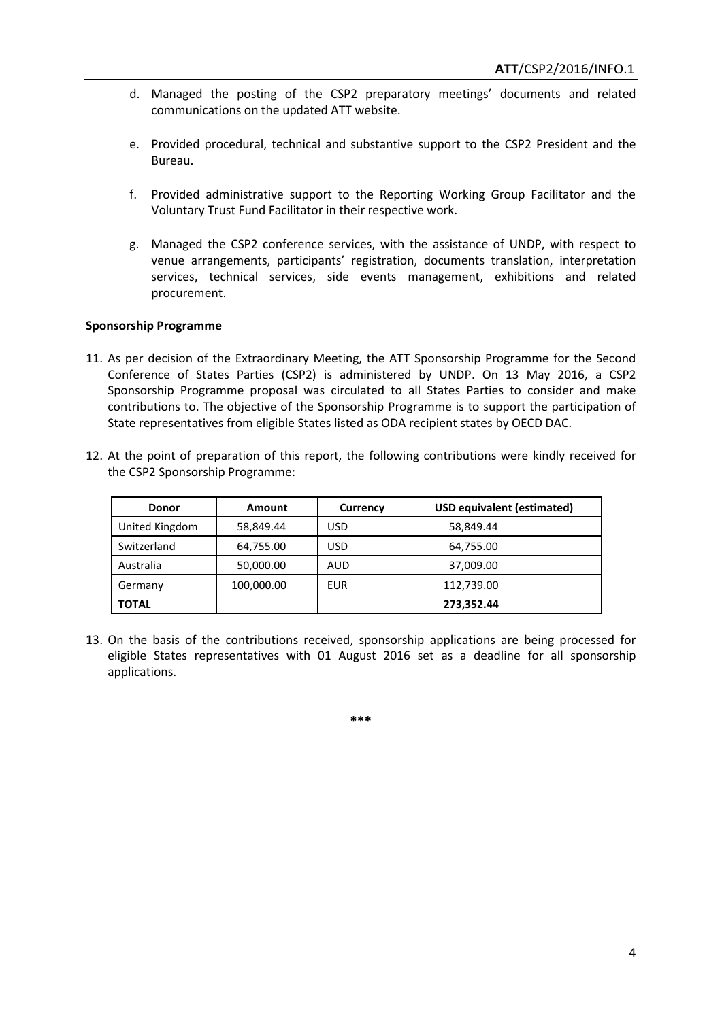- d. Managed the posting of the CSP2 preparatory meetings' documents and related communications on the updated ATT website.
- e. Provided procedural, technical and substantive support to the CSP2 President and the Bureau.
- f. Provided administrative support to the Reporting Working Group Facilitator and the Voluntary Trust Fund Facilitator in their respective work.
- g. Managed the CSP2 conference services, with the assistance of UNDP, with respect to venue arrangements, participants' registration, documents translation, interpretation services, technical services, side events management, exhibitions and related procurement.

### **Sponsorship Programme**

- 11. As per decision of the Extraordinary Meeting, the ATT Sponsorship Programme for the Second Conference of States Parties (CSP2) is administered by UNDP. On 13 May 2016, a CSP2 Sponsorship Programme proposal was circulated to all States Parties to consider and make contributions to. The objective of the Sponsorship Programme is to support the participation of State representatives from eligible States listed as ODA recipient states by OECD DAC.
- 12. At the point of preparation of this report, the following contributions were kindly received for the CSP2 Sponsorship Programme:

| <b>Donor</b>   | Amount     | Currency | <b>USD equivalent (estimated)</b> |
|----------------|------------|----------|-----------------------------------|
| United Kingdom | 58,849.44  | USD      | 58,849.44                         |
| Switzerland    | 64,755.00  | USD      | 64,755.00                         |
| Australia      | 50,000.00  | AUD      | 37,009.00                         |
| Germany        | 100,000.00 | EUR      | 112,739.00                        |
| <b>TOTAL</b>   |            |          | 273,352.44                        |

13. On the basis of the contributions received, sponsorship applications are being processed for eligible States representatives with 01 August 2016 set as a deadline for all sponsorship applications.

**\*\*\***